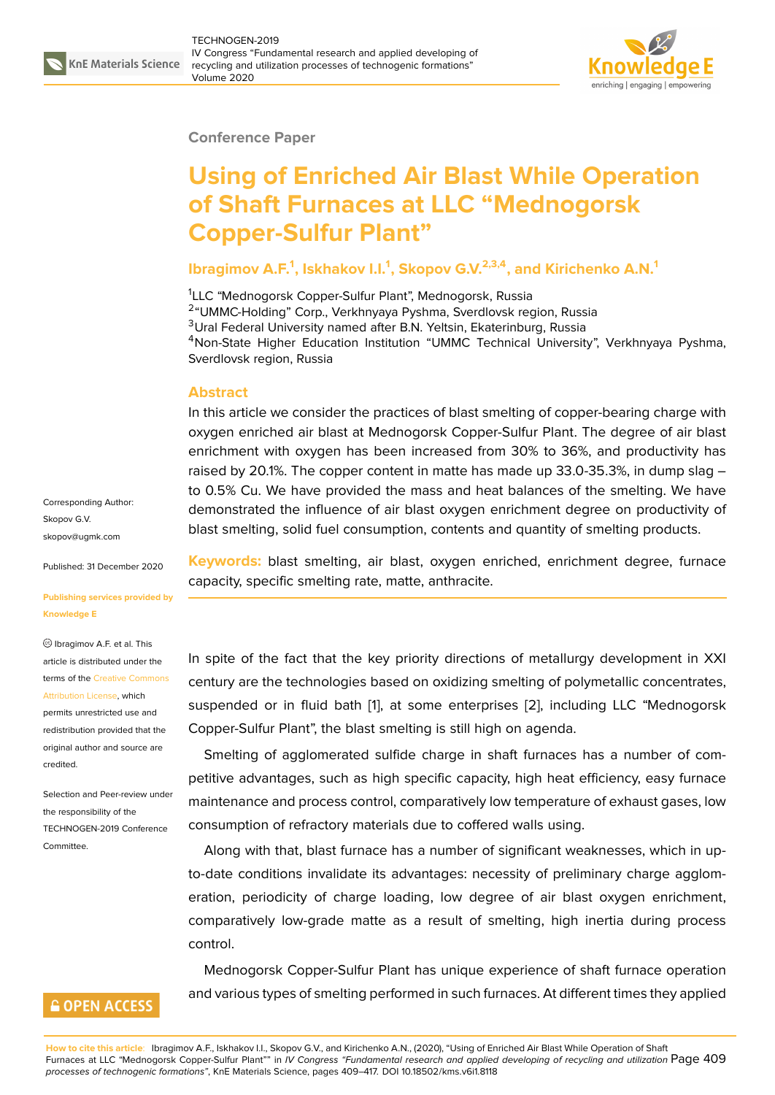

#### **Conference Paper**

# **Using of Enriched Air Blast While Operation of Shaft Furnaces at LLC "Mednogorsk Copper-Sulfur Plant"**

### **Ibragimov A.F.<sup>1</sup> , Iskhakov I.I.<sup>1</sup> , Skopov G.V.2,3,4, and Kirichenko A.N.<sup>1</sup>**

<sup>1</sup>LLC "Mednogorsk Copper-Sulfur Plant", Mednogorsk, Russia <sup>2</sup> "UMMC-Holding" Corp., Verkhnyaya Pyshma, Sverdlovsk region, Russia <sup>3</sup>Ural Federal University named after B.N. Yeltsin, Ekaterinburg, Russia <sup>4</sup>Non-State Higher Education Institution "UMMC Technical University", Verkhnyaya Pyshma, Sverdlovsk region, Russia

#### **Abstract**

In this article we consider the practices of blast smelting of copper-bearing charge with oxygen enriched air blast at Mednogorsk Copper-Sulfur Plant. The degree of air blast enrichment with oxygen has been increased from 30% to 36%, and productivity has raised by 20.1%. The copper content in matte has made up 33.0-35.3%, in dump slag – to 0.5% Cu. We have provided the mass and heat balances of the smelting. We have demonstrated the influence of air blast oxygen enrichment degree on productivity of blast smelting, solid fuel consumption, contents and quantity of smelting products.

**Keywords:** blast smelting, air blast, oxygen enriched, enrichment degree, furnace capacity, specific smelting rate, matte, anthracite.

In spite of the fact that the key priority directions of metallurgy development in XXI century are the technologies based on oxidizing smelting of polymetallic concentrates, suspended or in fluid bath [1], at some enterprises [2], including LLC "Mednogorsk Copper-Sulfur Plant", the blast smelting is still high on agenda.

Smelting of agglomerated sulfide charge in shaft furnaces has a number of competitive advantages, such as [h](#page-8-0)igh specific capacity, hi[gh](#page-8-1) heat efficiency, easy furnace maintenance and process control, comparatively low temperature of exhaust gases, low consumption of refractory materials due to coffered walls using.

Along with that, blast furnace has a number of significant weaknesses, which in upto-date conditions invalidate its advantages: necessity of preliminary charge agglomeration, periodicity of charge loading, low degree of air blast oxygen enrichment, comparatively low-grade matte as a result of smelting, high inertia during process control.

Mednogorsk Copper-Sulfur Plant has unique experience of shaft furnace operation and various types of smelting performed in such furnaces. At different times they applied

Corresponding Author: Skopov G.V. skopov@ugmk.com

Published: 31 December 2020

**[Publishing services](mailto:skopov@ugmk.com) provided by Knowledge E**

Ibragimov A.F. et al. This article is distributed under the terms of the Creative Commons Attribution License, which

permits unrestricted use and redistribution provided that the original auth[or and source are](https://creativecommons.org/licenses/by/4.0/) [credited.](https://creativecommons.org/licenses/by/4.0/)

Selection and Peer-review under the responsibility of the TECHNOGEN-2019 Conference Committee.

### **GOPEN ACCESS**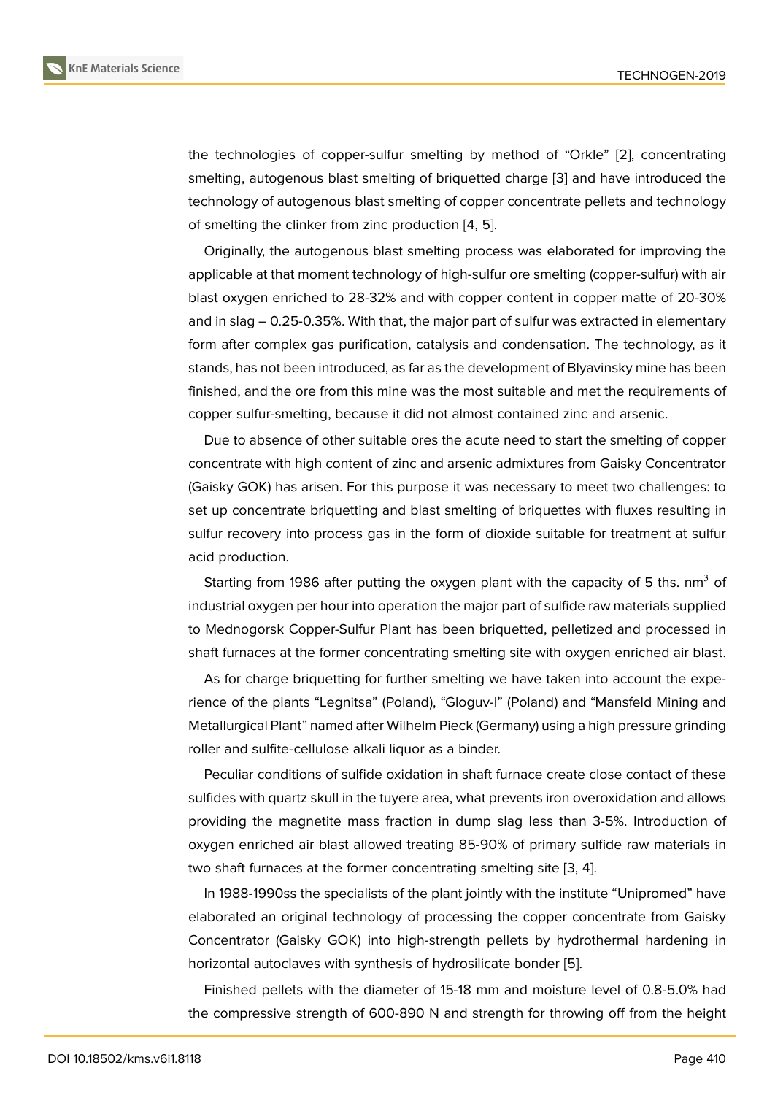the technologies of copper-sulfur smelting by method of "Orkle" [2], concentrating smelting, autogenous blast smelting of briquetted charge [3] and have introduced the technology of autogenous blast smelting of copper concentrate pellets and technology of smelting the clinker from zinc production [4, 5].

Originally, the autogenous blast smelting process was e[la](#page-8-2)borated for improving the applicable at that moment technology of high-sulfur ore smelting (copper-sulfur) with air blast oxygen enriched to 28-32% and with c[op](#page-8-3)[pe](#page-8-4)r content in copper matte of 20-30% and in slag – 0.25-0.35%. With that, the major part of sulfur was extracted in elementary form after complex gas purification, catalysis and condensation. The technology, as it stands, has not been introduced, as far as the development of Blyavinsky mine has been finished, and the ore from this mine was the most suitable and met the requirements of copper sulfur-smelting, because it did not almost contained zinc and arsenic.

Due to absence of other suitable ores the acute need to start the smelting of copper concentrate with high content of zinc and arsenic admixtures from Gaisky Concentrator (Gaisky GOK) has arisen. For this purpose it was necessary to meet two challenges: to set up concentrate briquetting and blast smelting of briquettes with fluxes resulting in sulfur recovery into process gas in the form of dioxide suitable for treatment at sulfur acid production.

Starting from 1986 after putting the oxygen plant with the capacity of 5 ths.  $nm<sup>3</sup>$  of industrial oxygen per hour into operation the major part of sulfide raw materials supplied to Mednogorsk Copper-Sulfur Plant has been briquetted, pelletized and processed in shaft furnaces at the former concentrating smelting site with oxygen enriched air blast.

As for charge briquetting for further smelting we have taken into account the experience of the plants "Legnitsa" (Poland), "Gloguv-I" (Poland) and "Mansfeld Mining and Metallurgical Plant" named after Wilhelm Pieck (Germany) using a high pressure grinding roller and sulfite-cellulose alkali liquor as a binder.

Peculiar conditions of sulfide oxidation in shaft furnace create close contact of these sulfides with quartz skull in the tuyere area, what prevents iron overoxidation and allows providing the magnetite mass fraction in dump slag less than 3-5%. Introduction of oxygen enriched air blast allowed treating 85-90% of primary sulfide raw materials in two shaft furnaces at the former concentrating smelting site [3, 4].

In 1988-1990ss the specialists of the plant jointly with the institute "Unipromed" have elaborated an original technology of processing the copper concentrate from Gaisky Concentrator (Gaisky GOK) into high-strength pellets by h[yd](#page-8-2)[ro](#page-8-3)thermal hardening in horizontal autoclaves with synthesis of hydrosilicate bonder [5].

Finished pellets with the diameter of 15-18 mm and moisture level of 0.8-5.0% had the compressive strength of 600-890 N and strength for throwing off from the height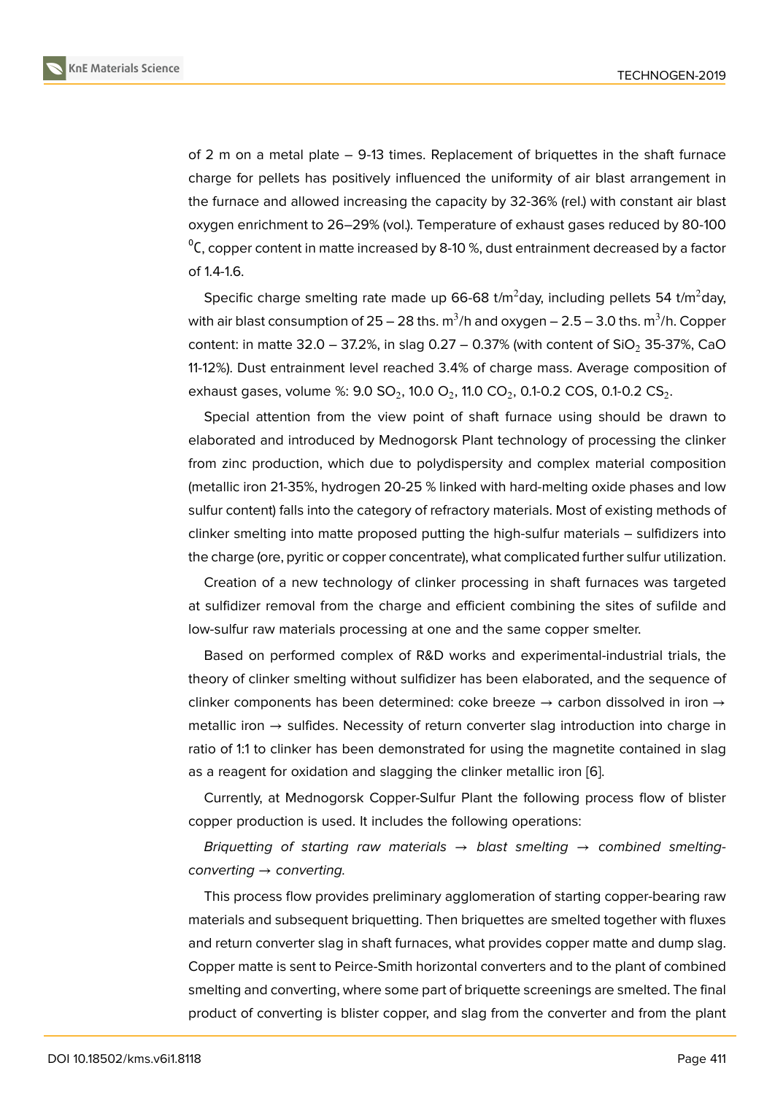of 2 m on a metal plate – 9-13 times. Replacement of briquettes in the shaft furnace charge for pellets has positively influenced the uniformity of air blast arrangement in the furnace and allowed increasing the capacity by 32-36% (rel.) with constant air blast oxygen enrichment to 26–29% (vol.). Temperature of exhaust gases reduced by 80-100  $\mathrm{^{0}C}$ , copper content in matte increased by 8-10 %, dust entrainment decreased by a factor of 1.4-1.6.

Specific charge smelting rate made up 66-68 t/m<sup>2</sup>day, including pellets 54 t/m<sup>2</sup>day, with air blast consumption of 25 – 28 ths.  $\mathrm{m}^3$ /h and oxygen – 2.5 – 3.0 ths.  $\mathrm{m}^3$ /h. Copper content: in matte 32.0 – 37.2%, in slag 0.27 – 0.37% (with content of  $SiO<sub>2</sub>$  35-37%, CaO 11-12%). Dust entrainment level reached 3.4% of charge mass. Average composition of exhaust gases, volume %: 9.0 SO $_2$ , 10.0 O $_2$ , 11.0 CO $_2$ , 0.1-0.2 COS, 0.1-0.2 CS $_2$ .

Special attention from the view point of shaft furnace using should be drawn to elaborated and introduced by Mednogorsk Plant technology of processing the clinker from zinc production, which due to polydispersity and complex material composition (metallic iron 21-35%, hydrogen 20-25 % linked with hard-melting oxide phases and low sulfur content) falls into the category of refractory materials. Most of existing methods of clinker smelting into matte proposed putting the high-sulfur materials – sulfidizers into the charge (ore, pyritic or copper concentrate), what complicated further sulfur utilization.

Creation of a new technology of clinker processing in shaft furnaces was targeted at sulfidizer removal from the charge and efficient combining the sites of sufilde and low-sulfur raw materials processing at one and the same copper smelter.

Based on performed complex of R&D works and experimental-industrial trials, the theory of clinker smelting without sulfidizer has been elaborated, and the sequence of clinker components has been determined: coke breeze  $\rightarrow$  carbon dissolved in iron  $\rightarrow$ metallic iron → sulfides. Necessity of return converter slag introduction into charge in ratio of 1:1 to clinker has been demonstrated for using the magnetite contained in slag as a reagent for oxidation and slagging the clinker metallic iron [6].

Currently, at Mednogorsk Copper-Sulfur Plant the following process flow of blister copper production is used. It includes the following operations:

*Briquetting of starting raw materials* → *blast smelting* [→](#page-8-5) *combined smeltingconverting* → *converting.*

This process flow provides preliminary agglomeration of starting copper-bearing raw materials and subsequent briquetting. Then briquettes are smelted together with fluxes and return converter slag in shaft furnaces, what provides copper matte and dump slag. Copper matte is sent to Peirce-Smith horizontal converters and to the plant of combined smelting and converting, where some part of briquette screenings are smelted. The final product of converting is blister copper, and slag from the converter and from the plant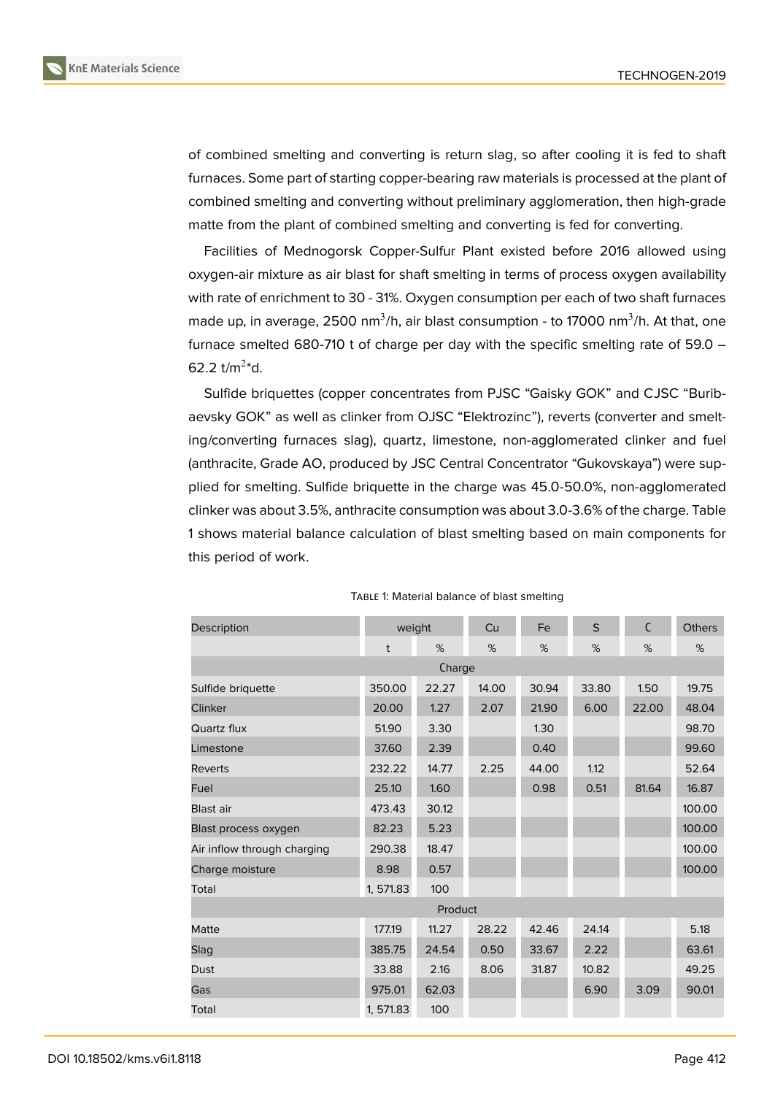

**KnE Materials Science**

of combined smelting and converting is return slag, so after cooling it is fed to shaft furnaces. Some part of starting copper-bearing raw materials is processed at the plant of combined smelting and converting without preliminary agglomeration, then high-grade matte from the plant of combined smelting and converting is fed for converting.

Facilities of Mednogorsk Copper-Sulfur Plant existed before 2016 allowed using oxygen-air mixture as air blast for shaft smelting in terms of process oxygen availability with rate of enrichment to 30 - 31%. Oxygen consumption per each of two shaft furnaces made up, in average, 2500 nm $^3$ /h, air blast consumption - to 17000 nm $^3$ /h. At that, one furnace smelted 680-710 t of charge per day with the specific smelting rate of 59.0 – 62.2 t/m<sup>2\*</sup>d.

Sulfide briquettes (copper concentrates from PJSC "Gaisky GOK" and CJSC "Buribaevsky GOK" as well as clinker from OJSC "Elektrozinc"), reverts (converter and smelting/converting furnaces slag), quartz, limestone, non-agglomerated clinker and fuel (anthracite, Grade AO, produced by JSC Central Concentrator "Gukovskaya") were supplied for smelting. Sulfide briquette in the charge was 45.0-50.0%, non-agglomerated clinker was about 3.5%, anthracite consumption was about 3.0-3.6% of the charge. Table 1 shows material balance calculation of blast smelting based on main components for this period of work.

| Description                 | weight    |       | Cu    | Fe    | S     | $\mathsf{C}$ | <b>Others</b> |  |
|-----------------------------|-----------|-------|-------|-------|-------|--------------|---------------|--|
|                             | t         | %     | %     | %     | %     | %            | %             |  |
| Charge                      |           |       |       |       |       |              |               |  |
| Sulfide briquette           | 350.00    | 22.27 | 14.00 | 30.94 | 33.80 | 1.50         | 19.75         |  |
| <b>Clinker</b>              | 20.00     | 1.27  | 2.07  | 21.90 | 6.00  | 22.00        | 48.04         |  |
| Quartz flux                 | 51.90     | 3.30  |       | 1.30  |       |              | 98.70         |  |
| Limestone                   | 37.60     | 2.39  |       | 0.40  |       |              | 99.60         |  |
| <b>Reverts</b>              | 232.22    | 14.77 | 2.25  | 44.00 | 1.12  |              | 52.64         |  |
| Fuel                        | 25.10     | 1.60  |       | 0.98  | 0.51  | 81.64        | 16.87         |  |
| Blast air                   | 473.43    | 30.12 |       |       |       |              | 100.00        |  |
| Blast process oxygen        | 82.23     | 5.23  |       |       |       |              | 100.00        |  |
| Air inflow through charging | 290.38    | 18.47 |       |       |       |              | 100.00        |  |
| Charge moisture             | 8.98      | 0.57  |       |       |       |              | 100.00        |  |
| Total                       | 1, 571.83 | 100   |       |       |       |              |               |  |
| Product                     |           |       |       |       |       |              |               |  |
| Matte                       | 177.19    | 11.27 | 28.22 | 42.46 | 24.14 |              | 5.18          |  |
| Slag                        | 385.75    | 24.54 | 0.50  | 33.67 | 2.22  |              | 63.61         |  |
| Dust                        | 33.88     | 2.16  | 8.06  | 31.87 | 10.82 |              | 49.25         |  |
| Gas                         | 975.01    | 62.03 |       |       | 6.90  | 3.09         | 90.01         |  |
| Total                       | 1, 571.83 | 100   |       |       |       |              |               |  |

#### TABLE 1: Material balance of blast smelting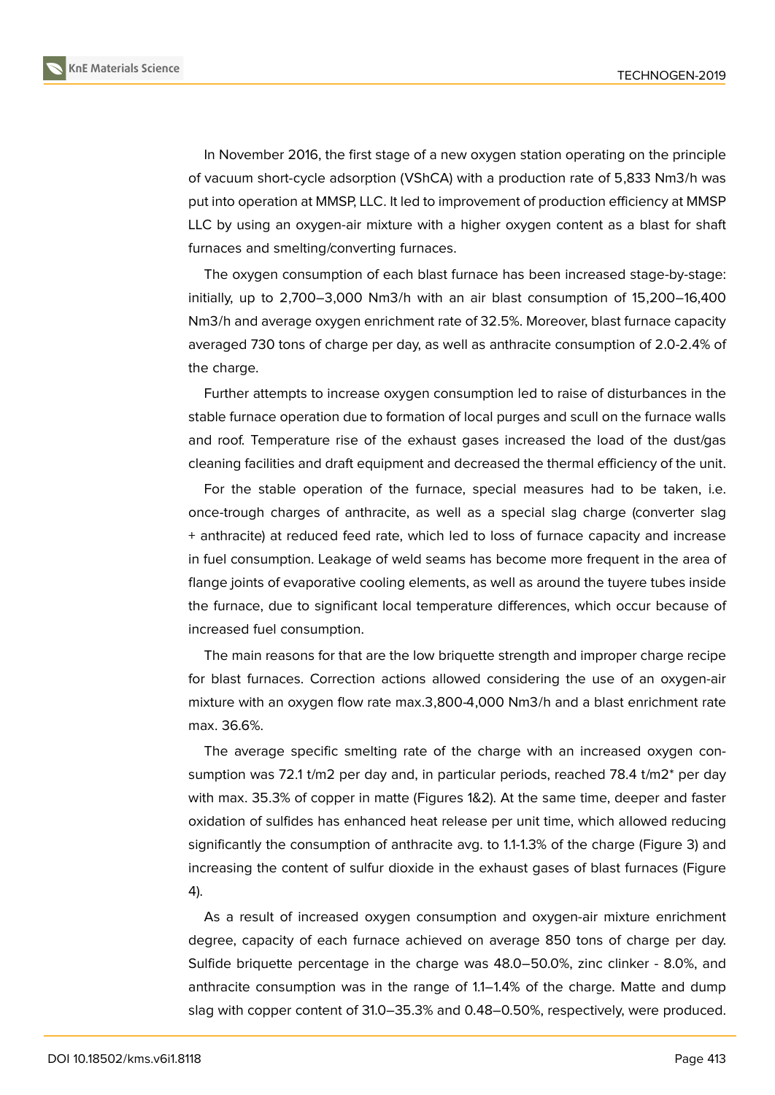In November 2016, the first stage of a new oxygen station operating on the principle of vacuum short-cycle adsorption (VShCA) with a production rate of 5,833 Nm3/h was put into operation at MMSP, LLC. It led to improvement of production efficiency at MMSP LLC by using an oxygen-air mixture with a higher oxygen content as a blast for shaft furnaces and smelting/converting furnaces.

The oxygen consumption of each blast furnace has been increased stage-by-stage: initially, up to 2,700–3,000 Nm3/h with an air blast consumption of 15,200–16,400 Nm3/h and average oxygen enrichment rate of 32.5%. Moreover, blast furnace capacity averaged 730 tons of charge per day, as well as anthracite consumption of 2.0-2.4% of the charge.

Further attempts to increase oxygen consumption led to raise of disturbances in the stable furnace operation due to formation of local purges and scull on the furnace walls and roof. Temperature rise of the exhaust gases increased the load of the dust/gas cleaning facilities and draft equipment and decreased the thermal efficiency of the unit.

For the stable operation of the furnace, special measures had to be taken, i.e. once-trough charges of anthracite, as well as a special slag charge (converter slag + anthracite) at reduced feed rate, which led to loss of furnace capacity and increase in fuel consumption. Leakage of weld seams has become more frequent in the area of flange joints of evaporative cooling elements, as well as around the tuyere tubes inside the furnace, due to significant local temperature differences, which occur because of increased fuel consumption.

The main reasons for that are the low briquette strength and improper charge recipe for blast furnaces. Correction actions allowed considering the use of an oxygen-air mixture with an oxygen flow rate max.3,800-4,000 Nm3/h and a blast enrichment rate max. 36.6%.

The average specific smelting rate of the charge with an increased oxygen consumption was 72.1 t/m2 per day and, in particular periods, reached 78.4 t/m2\* per day with max. 35.3% of copper in matte (Figures 1&2). At the same time, deeper and faster oxidation of sulfides has enhanced heat release per unit time, which allowed reducing significantly the consumption of anthracite avg. to 1.1-1.3% of the charge (Figure 3) and increasing the content of sulfur dioxide in the exhaust gases of blast furnaces (Figure 4).

As a result of increased oxygen consumption and oxygen-air mixture enri[ch](#page-5-0)ment degree, capacity of each furnace achieved on average 850 tons of charge per day. [S](#page-6-0)ulfide briquette percentage in the charge was 48.0–50.0%, zinc clinker - 8.0%, and anthracite consumption was in the range of 1.1–1.4% of the charge. Matte and dump slag with copper content of 31.0–35.3% and 0.48–0.50%, respectively, were produced.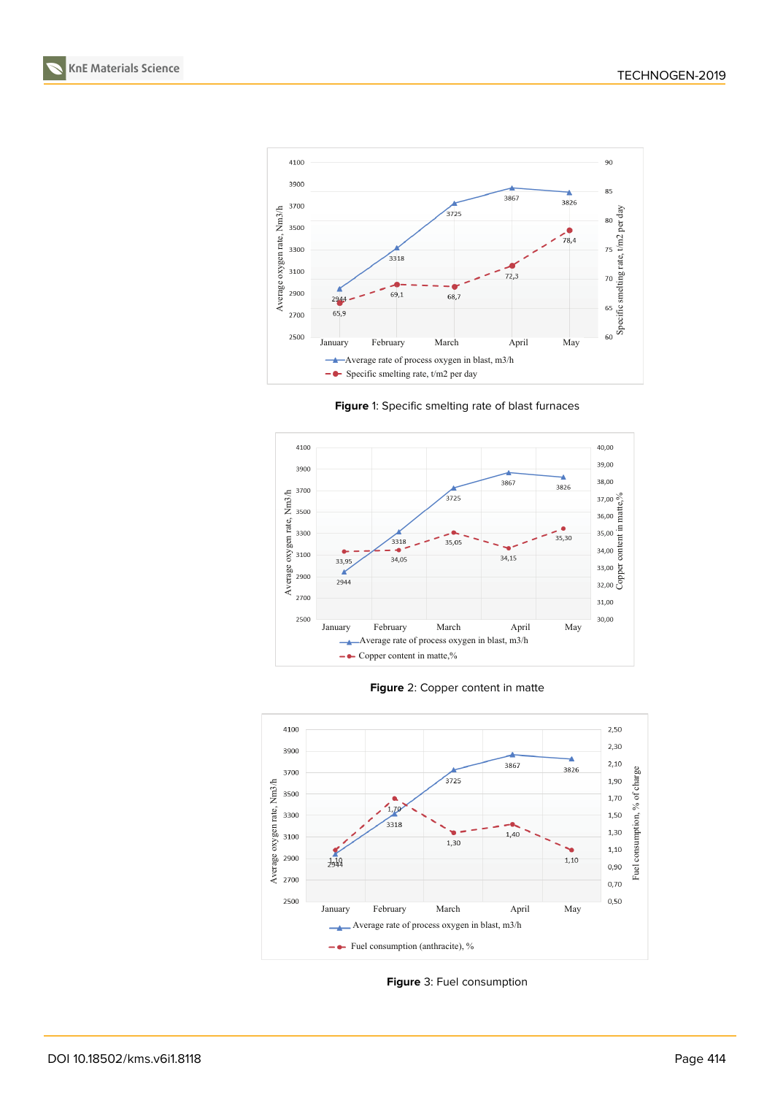**KnE Materials Science**



**Figure** 1: Specific smelting rate of blast furnaces







<span id="page-5-0"></span>**Figure** 3: Fuel consumption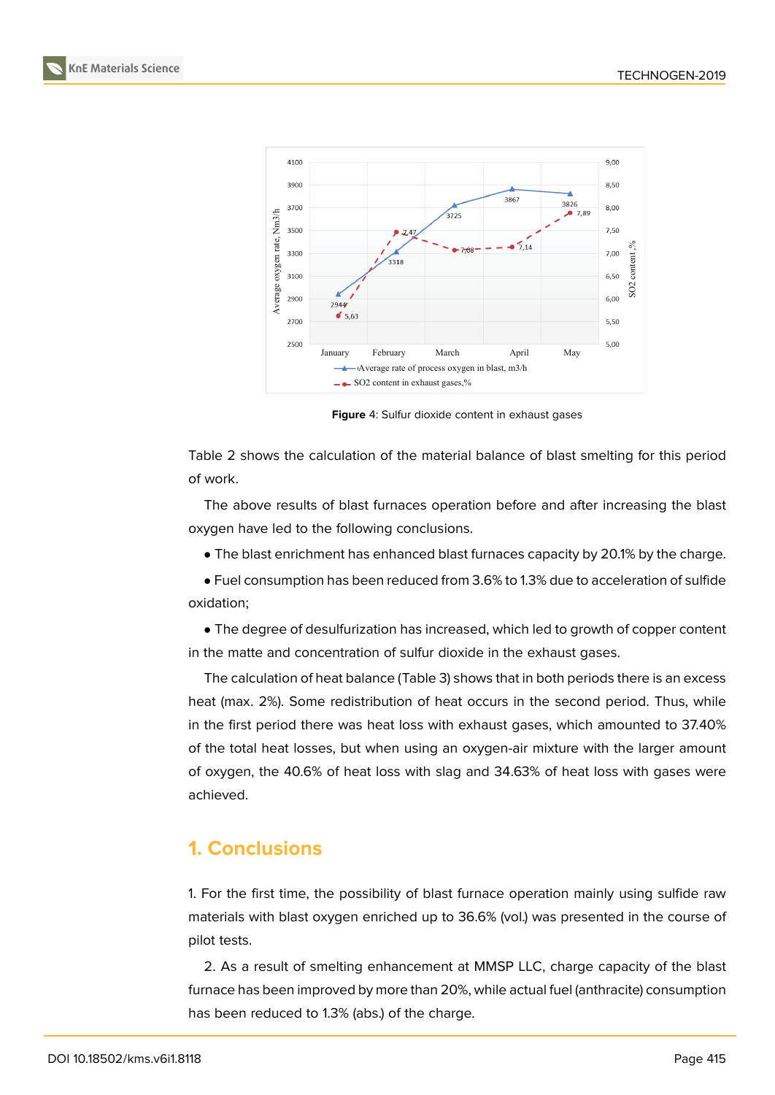**KnE Materials Science**



<span id="page-6-0"></span>**Figure** 4: Sulfur dioxide content in exhaust gases

Table 2 shows the calculation of the material balance of blast smelting for this period of work.

The above results of blast furnaces operation before and after increasing the blast oxygen have led to the following conclusions.

• The blast enrichment has enhanced blast furnaces capacity by 20.1% by the charge.

• Fuel consumption has been reduced from 3.6% to 1.3% due to acceleration of sulfide oxidation;

• The degree of desulfurization has increased, which led to growth of copper content in the matte and concentration of sulfur dioxide in the exhaust gases.

The calculation of heat balance (Table 3) shows that in both periods there is an excess heat (max. 2%). Some redistribution of heat occurs in the second period. Thus, while in the first period there was heat loss with exhaust gases, which amounted to 37.40% of the total heat losses, but when using an oxygen-air mixture with the larger amount of oxygen, the 40.6% of heat loss with slag and 34.63% of heat loss with gases were achieved.

# **1. Conclusions**

1. For the first time, the possibility of blast furnace operation mainly using sulfide raw materials with blast oxygen enriched up to 36.6% (vol.) was presented in the course of pilot tests.

2. As a result of smelting enhancement at MMSP LLC, charge capacity of the blast furnace has been improved by more than 20%, while actual fuel (anthracite) consumption has been reduced to 1.3% (abs.) of the charge.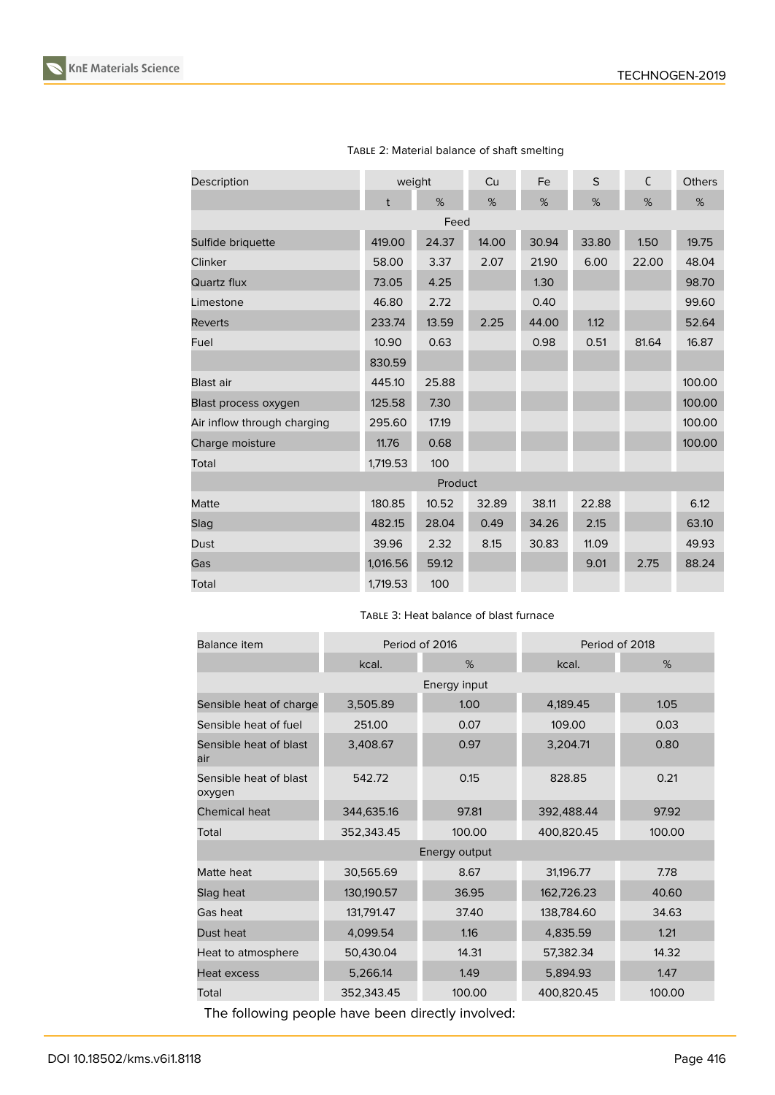

| Description                 | weight       |       | Cu    | Fe    | S     | C     | <b>Others</b> |
|-----------------------------|--------------|-------|-------|-------|-------|-------|---------------|
|                             | $\mathsf{t}$ | %     | %     | %     | %     | %     | %             |
| Feed                        |              |       |       |       |       |       |               |
| Sulfide briquette           | 419.00       | 24.37 | 14.00 | 30.94 | 33.80 | 1.50  | 19.75         |
| Clinker                     | 58.00        | 3.37  | 2.07  | 21.90 | 6.00  | 22.00 | 48.04         |
| Quartz flux                 | 73.05        | 4.25  |       | 1.30  |       |       | 98.70         |
| Limestone                   | 46.80        | 2.72  |       | 0.40  |       |       | 99.60         |
| <b>Reverts</b>              | 233.74       | 13.59 | 2.25  | 44.00 | 1.12  |       | 52.64         |
| Fuel                        | 10.90        | 0.63  |       | 0.98  | 0.51  | 81.64 | 16.87         |
|                             | 830.59       |       |       |       |       |       |               |
| Blast air                   | 445.10       | 25.88 |       |       |       |       | 100.00        |
| Blast process oxygen        | 125.58       | 7.30  |       |       |       |       | 100.00        |
| Air inflow through charging | 295.60       | 17.19 |       |       |       |       | 100.00        |
| Charge moisture             | 11.76        | 0.68  |       |       |       |       | 100.00        |
| Total                       | 1,719.53     | 100   |       |       |       |       |               |
| Product                     |              |       |       |       |       |       |               |
| Matte                       | 180.85       | 10.52 | 32.89 | 38.11 | 22.88 |       | 6.12          |
| Slag                        | 482.15       | 28.04 | 0.49  | 34.26 | 2.15  |       | 63.10         |
| Dust                        | 39.96        | 2.32  | 8.15  | 30.83 | 11.09 |       | 49.93         |
| Gas                         | 1,016.56     | 59.12 |       |       | 9.01  | 2.75  | 88.24         |
| Total                       | 1,719.53     | 100   |       |       |       |       |               |

TABLE 2: Material balance of shaft smelting

TABLE 3: Heat balance of blast furnace

| Balance item                     | Period of 2016 |        | Period of 2018 |        |  |  |  |  |
|----------------------------------|----------------|--------|----------------|--------|--|--|--|--|
|                                  | kcal.          | %      | kcal.          | %      |  |  |  |  |
| Energy input                     |                |        |                |        |  |  |  |  |
| Sensible heat of charge          | 3,505.89       | 1.00   | 4,189.45       | 1.05   |  |  |  |  |
| Sensible heat of fuel            | 251.00         | 0.07   | 109.00         | 0.03   |  |  |  |  |
| Sensible heat of blast<br>air    | 3,408.67       | 0.97   | 3,204.71       | 0.80   |  |  |  |  |
| Sensible heat of blast<br>oxygen | 542.72         | 0.15   | 828.85         | 0.21   |  |  |  |  |
| <b>Chemical heat</b>             | 344,635.16     | 97.81  | 392,488.44     | 97.92  |  |  |  |  |
| Total                            | 352,343.45     | 100.00 | 400,820.45     | 100.00 |  |  |  |  |
| Energy output                    |                |        |                |        |  |  |  |  |
| Matte heat                       | 30,565.69      | 8.67   | 31,196.77      | 7.78   |  |  |  |  |
| Slag heat                        | 130,190.57     | 36.95  | 162,726.23     | 40.60  |  |  |  |  |
| Gas heat                         | 131,791.47     | 37.40  | 138,784.60     | 34.63  |  |  |  |  |
| Dust heat                        | 4,099.54       | 1.16   | 4,835.59       | 1.21   |  |  |  |  |
| Heat to atmosphere               | 50,430.04      | 14.31  | 57,382.34      | 14.32  |  |  |  |  |
| Heat excess                      | 5,266.14       | 1.49   | 5,894.93       | 1.47   |  |  |  |  |
| Total                            | 352,343.45     | 100.00 | 400,820.45     | 100.00 |  |  |  |  |

The following people have been directly involved: